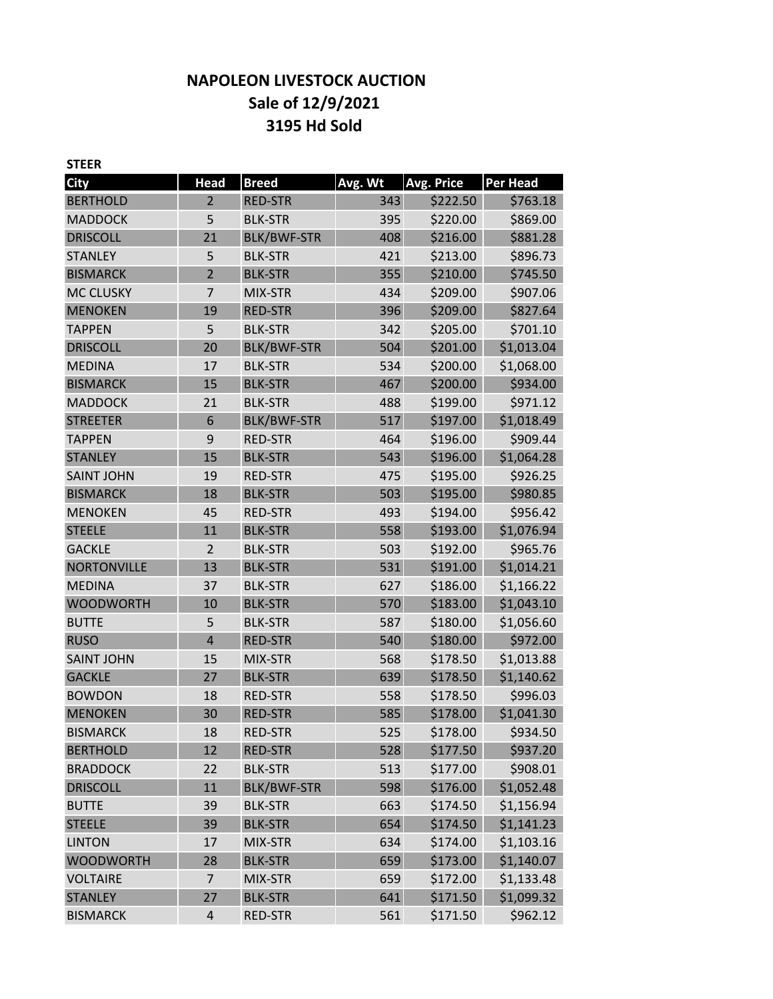# **NAPOLEON LIVESTOCK AUCTION Sale of 12/9/2021 3195 Hd Sold**

| <b>STEER</b>       |                |                    |         |                   |            |
|--------------------|----------------|--------------------|---------|-------------------|------------|
| <b>City</b>        | <b>Head</b>    | <b>Breed</b>       | Avg. Wt | <b>Avg. Price</b> | Per Head   |
| <b>BERTHOLD</b>    | $\overline{2}$ | <b>RED-STR</b>     | 343     | \$222.50          | \$763.18   |
| <b>MADDOCK</b>     | 5              | <b>BLK-STR</b>     | 395     | \$220.00          | \$869.00   |
| <b>DRISCOLL</b>    | 21             | <b>BLK/BWF-STR</b> | 408     | \$216.00          | \$881.28   |
| <b>STANLEY</b>     | 5              | <b>BLK-STR</b>     | 421     | \$213.00          | \$896.73   |
| <b>BISMARCK</b>    | $\overline{2}$ | <b>BLK-STR</b>     | 355     | \$210.00          | \$745.50   |
| <b>MC CLUSKY</b>   | $\overline{7}$ | MIX-STR            | 434     | \$209.00          | \$907.06   |
| <b>MENOKEN</b>     | 19             | <b>RED-STR</b>     | 396     | \$209.00          | \$827.64   |
| <b>TAPPEN</b>      | 5              | <b>BLK-STR</b>     | 342     | \$205.00          | \$701.10   |
| <b>DRISCOLL</b>    | 20             | <b>BLK/BWF-STR</b> | 504     | \$201.00          | \$1,013.04 |
| <b>MEDINA</b>      | 17             | <b>BLK-STR</b>     | 534     | \$200.00          | \$1,068.00 |
| <b>BISMARCK</b>    | 15             | <b>BLK-STR</b>     | 467     | \$200.00          | \$934.00   |
| <b>MADDOCK</b>     | 21             | <b>BLK-STR</b>     | 488     | \$199.00          | \$971.12   |
| <b>STREETER</b>    | 6              | <b>BLK/BWF-STR</b> | 517     | \$197.00          | \$1,018.49 |
| <b>TAPPEN</b>      | 9              | <b>RED-STR</b>     | 464     | \$196.00          | \$909.44   |
| <b>STANLEY</b>     | 15             | <b>BLK-STR</b>     | 543     | \$196.00          | \$1,064.28 |
| <b>SAINT JOHN</b>  | 19             | <b>RED-STR</b>     | 475     | \$195.00          | \$926.25   |
| <b>BISMARCK</b>    | 18             | <b>BLK-STR</b>     | 503     | \$195.00          | \$980.85   |
| <b>MENOKEN</b>     | 45             | <b>RED-STR</b>     | 493     | \$194.00          | \$956.42   |
| <b>STEELE</b>      | 11             | <b>BLK-STR</b>     | 558     | \$193.00          | \$1,076.94 |
| <b>GACKLE</b>      | $\overline{2}$ | <b>BLK-STR</b>     | 503     | \$192.00          | \$965.76   |
| <b>NORTONVILLE</b> | 13             | <b>BLK-STR</b>     | 531     | \$191.00          | \$1,014.21 |
| <b>MEDINA</b>      | 37             | <b>BLK-STR</b>     | 627     | \$186.00          | \$1,166.22 |
| <b>WOODWORTH</b>   | 10             | <b>BLK-STR</b>     | 570     | \$183.00          | \$1,043.10 |
| <b>BUTTE</b>       | 5              | <b>BLK-STR</b>     | 587     | \$180.00          | \$1,056.60 |
| <b>RUSO</b>        | $\overline{4}$ | <b>RED-STR</b>     | 540     | \$180.00          | \$972.00   |
| <b>SAINT JOHN</b>  | 15             | MIX-STR            | 568     | \$178.50          | \$1,013.88 |
| <b>GACKLE</b>      | 27             | <b>BLK-STR</b>     | 639     | \$178.50          | \$1,140.62 |
| <b>BOWDON</b>      | 18             | <b>RED-STR</b>     | 558     | \$178.50          | \$996.03   |
| <b>MENOKEN</b>     | 30             | <b>RED-STR</b>     | 585     | \$178.00          | \$1,041.30 |
| <b>BISMARCK</b>    | 18             | <b>RED-STR</b>     | 525     | \$178.00          | \$934.50   |
| <b>BERTHOLD</b>    | 12             | <b>RED-STR</b>     | 528     | \$177.50          | \$937.20   |
| <b>BRADDOCK</b>    | 22             | <b>BLK-STR</b>     | 513     | \$177.00          | \$908.01   |
| <b>DRISCOLL</b>    | 11             | <b>BLK/BWF-STR</b> | 598     | \$176.00          | \$1,052.48 |
| <b>BUTTE</b>       | 39             | <b>BLK-STR</b>     | 663     | \$174.50          | \$1,156.94 |
| <b>STEELE</b>      | 39             | <b>BLK-STR</b>     | 654     | \$174.50          | \$1,141.23 |
| <b>LINTON</b>      | 17             | MIX-STR            | 634     | \$174.00          | \$1,103.16 |
| <b>WOODWORTH</b>   | 28             | <b>BLK-STR</b>     | 659     | \$173.00          | \$1,140.07 |
| <b>VOLTAIRE</b>    | $\overline{7}$ | MIX-STR            | 659     | \$172.00          | \$1,133.48 |
| <b>STANLEY</b>     | 27             | <b>BLK-STR</b>     | 641     | \$171.50          | \$1,099.32 |
| <b>BISMARCK</b>    | 4              | RED-STR            | 561     | \$171.50          | \$962.12   |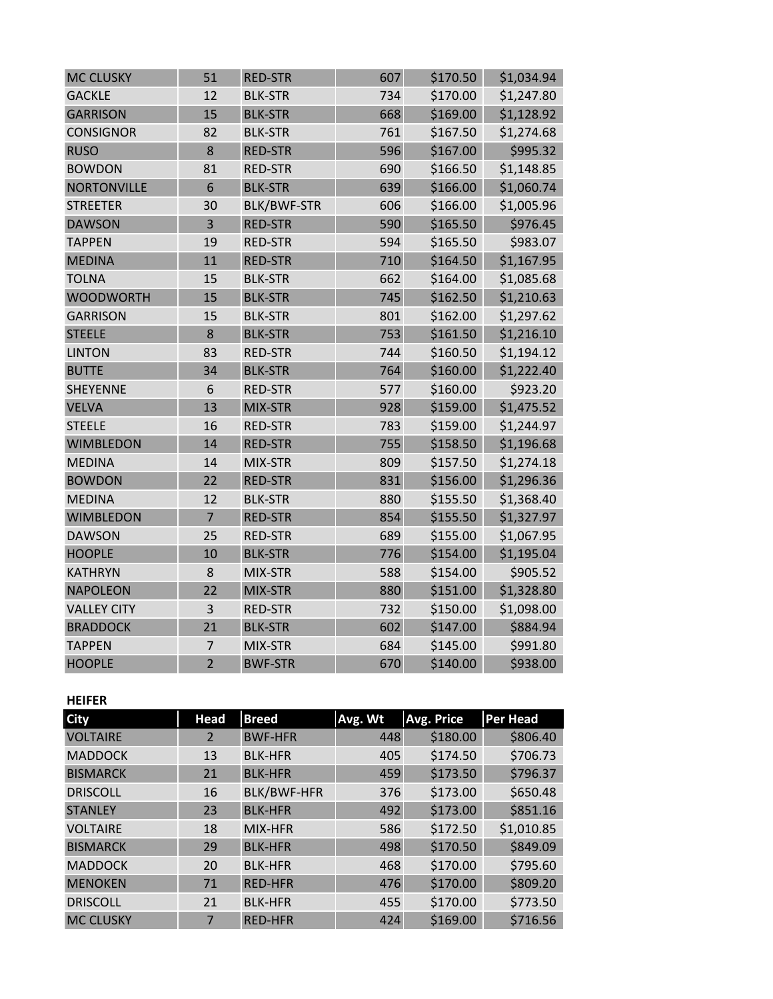| <b>MC CLUSKY</b>   | 51             | <b>RED-STR</b>     | 607 | \$170.50 | \$1,034.94 |
|--------------------|----------------|--------------------|-----|----------|------------|
| <b>GACKLE</b>      | 12             | <b>BLK-STR</b>     | 734 | \$170.00 | \$1,247.80 |
| <b>GARRISON</b>    | 15             | <b>BLK-STR</b>     | 668 | \$169.00 | \$1,128.92 |
| <b>CONSIGNOR</b>   | 82             | <b>BLK-STR</b>     | 761 | \$167.50 | \$1,274.68 |
| <b>RUSO</b>        | 8              | <b>RED-STR</b>     | 596 | \$167.00 | \$995.32   |
| <b>BOWDON</b>      | 81             | <b>RED-STR</b>     | 690 | \$166.50 | \$1,148.85 |
| <b>NORTONVILLE</b> | 6              | <b>BLK-STR</b>     | 639 | \$166.00 | \$1,060.74 |
| <b>STREETER</b>    | 30             | <b>BLK/BWF-STR</b> | 606 | \$166.00 | \$1,005.96 |
| <b>DAWSON</b>      | 3              | <b>RED-STR</b>     | 590 | \$165.50 | \$976.45   |
| <b>TAPPEN</b>      | 19             | <b>RED-STR</b>     | 594 | \$165.50 | \$983.07   |
| <b>MEDINA</b>      | 11             | <b>RED-STR</b>     | 710 | \$164.50 | \$1,167.95 |
| <b>TOLNA</b>       | 15             | <b>BLK-STR</b>     | 662 | \$164.00 | \$1,085.68 |
| <b>WOODWORTH</b>   | 15             | <b>BLK-STR</b>     | 745 | \$162.50 | \$1,210.63 |
| <b>GARRISON</b>    | 15             | <b>BLK-STR</b>     | 801 | \$162.00 | \$1,297.62 |
| <b>STEELE</b>      | 8              | <b>BLK-STR</b>     | 753 | \$161.50 | \$1,216.10 |
| <b>LINTON</b>      | 83             | <b>RED-STR</b>     | 744 | \$160.50 | \$1,194.12 |
| <b>BUTTE</b>       | 34             | <b>BLK-STR</b>     | 764 | \$160.00 | \$1,222.40 |
| <b>SHEYENNE</b>    | 6              | <b>RED-STR</b>     | 577 | \$160.00 | \$923.20   |
| <b>VELVA</b>       | 13             | MIX-STR            | 928 | \$159.00 | \$1,475.52 |
| <b>STEELE</b>      | 16             | <b>RED-STR</b>     | 783 | \$159.00 | \$1,244.97 |
| <b>WIMBLEDON</b>   | 14             | <b>RED-STR</b>     | 755 | \$158.50 | \$1,196.68 |
| <b>MEDINA</b>      | 14             | MIX-STR            | 809 | \$157.50 | \$1,274.18 |
| <b>BOWDON</b>      | 22             | <b>RED-STR</b>     | 831 | \$156.00 | \$1,296.36 |
| <b>MEDINA</b>      | 12             | <b>BLK-STR</b>     | 880 | \$155.50 | \$1,368.40 |
| <b>WIMBLEDON</b>   | $\overline{7}$ | <b>RED-STR</b>     | 854 | \$155.50 | \$1,327.97 |
| <b>DAWSON</b>      | 25             | <b>RED-STR</b>     | 689 | \$155.00 | \$1,067.95 |
| <b>HOOPLE</b>      | 10             | <b>BLK-STR</b>     | 776 | \$154.00 | \$1,195.04 |
| <b>KATHRYN</b>     | 8              | MIX-STR            | 588 | \$154.00 | \$905.52   |
| <b>NAPOLEON</b>    | 22             | MIX-STR            | 880 | \$151.00 | \$1,328.80 |
| <b>VALLEY CITY</b> | 3              | <b>RED-STR</b>     | 732 | \$150.00 | \$1,098.00 |
| <b>BRADDOCK</b>    | 21             | <b>BLK-STR</b>     | 602 | \$147.00 | \$884.94   |
| <b>TAPPEN</b>      | $\overline{7}$ | MIX-STR            | 684 | \$145.00 | \$991.80   |
| <b>HOOPLE</b>      | $\overline{2}$ | <b>BWF-STR</b>     | 670 | \$140.00 | \$938.00   |

## **HEIFER**

| <b>City</b>      | <b>Head</b>    | <b>Breed</b>       | Avg. Wt | <b>Avg. Price</b> | Per Head   |
|------------------|----------------|--------------------|---------|-------------------|------------|
| <b>VOLTAIRE</b>  | $\overline{2}$ | <b>BWF-HFR</b>     | 448     | \$180.00          | \$806.40   |
| <b>MADDOCK</b>   | 13             | <b>BLK-HFR</b>     | 405     | \$174.50          | \$706.73   |
| <b>BISMARCK</b>  | 21             | <b>BLK-HFR</b>     | 459     | \$173.50          | \$796.37   |
| <b>DRISCOLL</b>  | 16             | <b>BLK/BWF-HFR</b> | 376     | \$173.00          | \$650.48   |
| <b>STANLEY</b>   | 23             | <b>BLK-HFR</b>     | 492     | \$173.00          | \$851.16   |
| <b>VOLTAIRE</b>  | 18             | MIX-HFR            | 586     | \$172.50          | \$1,010.85 |
| <b>BISMARCK</b>  | 29             | <b>BLK-HFR</b>     | 498     | \$170.50          | \$849.09   |
| <b>MADDOCK</b>   | 20             | <b>BLK-HFR</b>     | 468     | \$170.00          | \$795.60   |
| <b>MENOKEN</b>   | 71             | <b>RED-HFR</b>     | 476     | \$170.00          | \$809.20   |
| <b>DRISCOLL</b>  | 21             | <b>BLK-HFR</b>     | 455     | \$170.00          | \$773.50   |
| <b>MC CLUSKY</b> | 7              | <b>RED-HFR</b>     | 424     | \$169.00          | \$716.56   |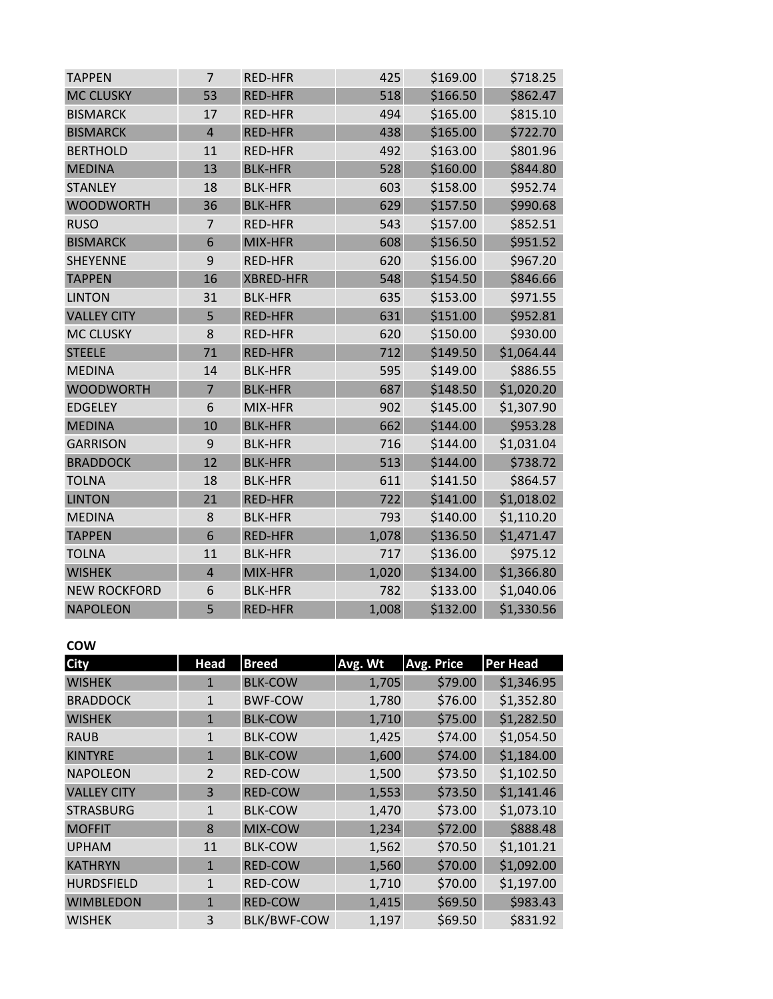| <b>TAPPEN</b>       | $\overline{7}$ | <b>RED-HFR</b>   | 425   | \$169.00 | \$718.25   |
|---------------------|----------------|------------------|-------|----------|------------|
| <b>MC CLUSKY</b>    | 53             | <b>RED-HFR</b>   | 518   | \$166.50 | \$862.47   |
| <b>BISMARCK</b>     | 17             | <b>RED-HFR</b>   | 494   | \$165.00 | \$815.10   |
| <b>BISMARCK</b>     | $\overline{4}$ | <b>RED-HFR</b>   | 438   | \$165.00 | \$722.70   |
| <b>BERTHOLD</b>     | 11             | <b>RED-HFR</b>   | 492   | \$163.00 | \$801.96   |
| <b>MEDINA</b>       | 13             | <b>BLK-HFR</b>   | 528   | \$160.00 | \$844.80   |
| <b>STANLEY</b>      | 18             | <b>BLK-HFR</b>   | 603   | \$158.00 | \$952.74   |
| <b>WOODWORTH</b>    | 36             | <b>BLK-HFR</b>   | 629   | \$157.50 | \$990.68   |
| <b>RUSO</b>         | $\overline{7}$ | <b>RED-HFR</b>   | 543   | \$157.00 | \$852.51   |
| <b>BISMARCK</b>     | 6              | MIX-HFR          | 608   | \$156.50 | \$951.52   |
| <b>SHEYENNE</b>     | 9              | <b>RED-HFR</b>   | 620   | \$156.00 | \$967.20   |
| <b>TAPPEN</b>       | 16             | <b>XBRED-HFR</b> | 548   | \$154.50 | \$846.66   |
| <b>LINTON</b>       | 31             | <b>BLK-HFR</b>   | 635   | \$153.00 | \$971.55   |
| <b>VALLEY CITY</b>  | 5              | <b>RED-HFR</b>   | 631   | \$151.00 | \$952.81   |
| <b>MC CLUSKY</b>    | 8              | <b>RED-HFR</b>   | 620   | \$150.00 | \$930.00   |
| <b>STEELE</b>       | 71             | <b>RED-HFR</b>   | 712   | \$149.50 | \$1,064.44 |
| <b>MEDINA</b>       | 14             | <b>BLK-HFR</b>   | 595   | \$149.00 | \$886.55   |
| <b>WOODWORTH</b>    | $\overline{7}$ | <b>BLK-HFR</b>   | 687   | \$148.50 | \$1,020.20 |
| <b>EDGELEY</b>      | 6              | MIX-HFR          | 902   | \$145.00 | \$1,307.90 |
| <b>MEDINA</b>       | 10             | <b>BLK-HFR</b>   | 662   | \$144.00 | \$953.28   |
| <b>GARRISON</b>     | 9              | <b>BLK-HFR</b>   | 716   | \$144.00 | \$1,031.04 |
| <b>BRADDOCK</b>     | 12             | <b>BLK-HFR</b>   | 513   | \$144.00 | \$738.72   |
| <b>TOLNA</b>        | 18             | <b>BLK-HFR</b>   | 611   | \$141.50 | \$864.57   |
| <b>LINTON</b>       | 21             | <b>RED-HFR</b>   | 722   | \$141.00 | \$1,018.02 |
| <b>MEDINA</b>       | 8              | <b>BLK-HFR</b>   | 793   | \$140.00 | \$1,110.20 |
| <b>TAPPEN</b>       | 6              | <b>RED-HFR</b>   | 1,078 | \$136.50 | \$1,471.47 |
| <b>TOLNA</b>        | 11             | <b>BLK-HFR</b>   | 717   | \$136.00 | \$975.12   |
| <b>WISHEK</b>       | $\overline{4}$ | MIX-HFR          | 1,020 | \$134.00 | \$1,366.80 |
| <b>NEW ROCKFORD</b> | 6              | <b>BLK-HFR</b>   | 782   | \$133.00 | \$1,040.06 |
| <b>NAPOLEON</b>     | 5              | <b>RED-HFR</b>   | 1,008 | \$132.00 | \$1,330.56 |

# **COW**

| <b>City</b>        | <b>Head</b>   | <b>Breed</b>       | Avg. Wt | <b>Avg. Price</b> | <b>Per Head</b> |
|--------------------|---------------|--------------------|---------|-------------------|-----------------|
| <b>WISHEK</b>      | 1             | <b>BLK-COW</b>     | 1,705   | \$79.00           | \$1,346.95      |
| <b>BRADDOCK</b>    | $\mathbf{1}$  | <b>BWF-COW</b>     | 1,780   | \$76.00           | \$1,352.80      |
| <b>WISHEK</b>      | $\mathbf{1}$  | <b>BLK-COW</b>     | 1,710   | \$75.00           | \$1,282.50      |
| <b>RAUB</b>        | $\mathbf{1}$  | <b>BLK-COW</b>     | 1,425   | \$74.00           | \$1,054.50      |
| <b>KINTYRE</b>     | $\mathbf{1}$  | <b>BLK-COW</b>     | 1,600   | \$74.00           | \$1,184.00      |
| <b>NAPOLEON</b>    | $\mathcal{P}$ | RED-COW            | 1,500   | \$73.50           | \$1,102.50      |
| <b>VALLEY CITY</b> | 3             | <b>RED-COW</b>     | 1,553   | \$73.50           | \$1,141.46      |
| <b>STRASBURG</b>   | $\mathbf{1}$  | <b>BLK-COW</b>     | 1,470   | \$73.00           | \$1,073.10      |
| <b>MOFFIT</b>      | 8             | MIX-COW            | 1,234   | \$72.00           | \$888.48        |
| <b>UPHAM</b>       | 11            | <b>BLK-COW</b>     | 1,562   | \$70.50           | \$1,101.21      |
| <b>KATHRYN</b>     | $\mathbf{1}$  | <b>RED-COW</b>     | 1,560   | \$70.00           | \$1,092.00      |
| <b>HURDSFIELD</b>  | $\mathbf{1}$  | RED-COW            | 1,710   | \$70.00           | \$1,197.00      |
| <b>WIMBLEDON</b>   | $\mathbf{1}$  | <b>RED-COW</b>     | 1,415   | \$69.50           | \$983.43        |
| <b>WISHEK</b>      | 3             | <b>BLK/BWF-COW</b> | 1,197   | \$69.50           | \$831.92        |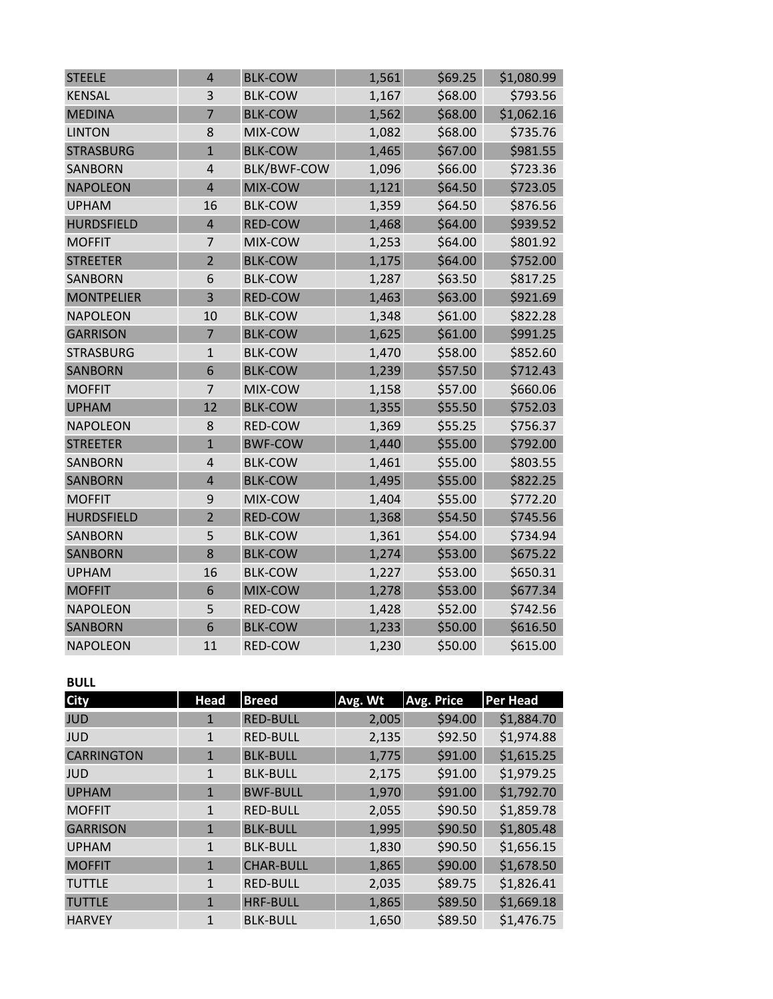| <b>STEELE</b>     | $\overline{4}$ | <b>BLK-COW</b>     | 1,561 | \$69.25 | \$1,080.99 |
|-------------------|----------------|--------------------|-------|---------|------------|
| <b>KENSAL</b>     | 3              | <b>BLK-COW</b>     | 1,167 | \$68.00 | \$793.56   |
| <b>MEDINA</b>     | $\overline{7}$ | <b>BLK-COW</b>     | 1,562 | \$68.00 | \$1,062.16 |
| <b>LINTON</b>     | 8              | MIX-COW            | 1,082 | \$68.00 | \$735.76   |
| <b>STRASBURG</b>  | $\mathbf{1}$   | <b>BLK-COW</b>     | 1,465 | \$67.00 | \$981.55   |
| <b>SANBORN</b>    | $\overline{4}$ | <b>BLK/BWF-COW</b> | 1,096 | \$66.00 | \$723.36   |
| <b>NAPOLEON</b>   | $\overline{4}$ | MIX-COW            | 1,121 | \$64.50 | \$723.05   |
| <b>UPHAM</b>      | 16             | <b>BLK-COW</b>     | 1,359 | \$64.50 | \$876.56   |
| <b>HURDSFIELD</b> | $\overline{4}$ | RED-COW            | 1,468 | \$64.00 | \$939.52   |
| <b>MOFFIT</b>     | $\overline{7}$ | MIX-COW            | 1,253 | \$64.00 | \$801.92   |
| <b>STREETER</b>   | $\overline{2}$ | <b>BLK-COW</b>     | 1,175 | \$64.00 | \$752.00   |
| <b>SANBORN</b>    | 6              | <b>BLK-COW</b>     | 1,287 | \$63.50 | \$817.25   |
| <b>MONTPELIER</b> | 3              | <b>RED-COW</b>     | 1,463 | \$63.00 | \$921.69   |
| <b>NAPOLEON</b>   | 10             | <b>BLK-COW</b>     | 1,348 | \$61.00 | \$822.28   |
| <b>GARRISON</b>   | $\overline{7}$ | <b>BLK-COW</b>     | 1,625 | \$61.00 | \$991.25   |
| <b>STRASBURG</b>  | $\mathbf{1}$   | <b>BLK-COW</b>     | 1,470 | \$58.00 | \$852.60   |
| <b>SANBORN</b>    | 6              | <b>BLK-COW</b>     | 1,239 | \$57.50 | \$712.43   |
| <b>MOFFIT</b>     | $\overline{7}$ | MIX-COW            | 1,158 | \$57.00 | \$660.06   |
| <b>UPHAM</b>      | 12             | <b>BLK-COW</b>     | 1,355 | \$55.50 | \$752.03   |
| <b>NAPOLEON</b>   | 8              | RED-COW            | 1,369 | \$55.25 | \$756.37   |
| <b>STREETER</b>   | $\overline{1}$ | <b>BWF-COW</b>     | 1,440 | \$55.00 | \$792.00   |
| <b>SANBORN</b>    | $\overline{4}$ | <b>BLK-COW</b>     | 1,461 | \$55.00 | \$803.55   |
| <b>SANBORN</b>    | $\overline{4}$ | <b>BLK-COW</b>     | 1,495 | \$55.00 | \$822.25   |
| <b>MOFFIT</b>     | 9              | MIX-COW            | 1,404 | \$55.00 | \$772.20   |
| <b>HURDSFIELD</b> | $\overline{2}$ | <b>RED-COW</b>     | 1,368 | \$54.50 | \$745.56   |
| <b>SANBORN</b>    | 5              | <b>BLK-COW</b>     | 1,361 | \$54.00 | \$734.94   |
| <b>SANBORN</b>    | 8              | <b>BLK-COW</b>     | 1,274 | \$53.00 | \$675.22   |
| <b>UPHAM</b>      | 16             | <b>BLK-COW</b>     | 1,227 | \$53.00 | \$650.31   |
| <b>MOFFIT</b>     | 6              | MIX-COW            | 1,278 | \$53.00 | \$677.34   |
| <b>NAPOLEON</b>   | 5              | RED-COW            | 1,428 | \$52.00 | \$742.56   |
| <b>SANBORN</b>    | 6              | <b>BLK-COW</b>     | 1,233 | \$50.00 | \$616.50   |
| <b>NAPOLEON</b>   | 11             | RED-COW            | 1,230 | \$50.00 | \$615.00   |

# **BULL**

| <b>City</b>       | <b>Head</b>  | <b>Breed</b>     | Avg. Wt | <b>Avg. Price</b> | <b>Per Head</b> |
|-------------------|--------------|------------------|---------|-------------------|-----------------|
| <b>JUD</b>        | $\mathbf{1}$ | <b>RED-BULL</b>  | 2,005   | \$94.00           | \$1,884.70      |
| <b>JUD</b>        | 1            | <b>RED-BULL</b>  | 2,135   | \$92.50           | \$1,974.88      |
| <b>CARRINGTON</b> | $\mathbf{1}$ | <b>BLK-BULL</b>  | 1,775   | \$91.00           | \$1,615.25      |
| <b>JUD</b>        | $\mathbf{1}$ | <b>BLK-BULL</b>  | 2,175   | \$91.00           | \$1,979.25      |
| <b>UPHAM</b>      | $\mathbf{1}$ | <b>BWF-BULL</b>  | 1,970   | \$91.00           | \$1,792.70      |
| <b>MOFFIT</b>     | 1            | <b>RED-BULL</b>  | 2,055   | \$90.50           | \$1,859.78      |
| <b>GARRISON</b>   | $\mathbf{1}$ | <b>BLK-BULL</b>  | 1,995   | \$90.50           | \$1,805.48      |
| <b>UPHAM</b>      | $\mathbf{1}$ | <b>BLK-BULL</b>  | 1,830   | \$90.50           | \$1,656.15      |
| <b>MOFFIT</b>     | $\mathbf{1}$ | <b>CHAR-BULL</b> | 1,865   | \$90.00           | \$1,678.50      |
| <b>TUTTLE</b>     | $\mathbf{1}$ | <b>RED-BULL</b>  | 2,035   | \$89.75           | \$1,826.41      |
| <b>TUTTLE</b>     | $\mathbf{1}$ | <b>HRF-BULL</b>  | 1,865   | \$89.50           | \$1,669.18      |
| <b>HARVEY</b>     | 1            | <b>BLK-BULL</b>  | 1,650   | \$89.50           | \$1,476.75      |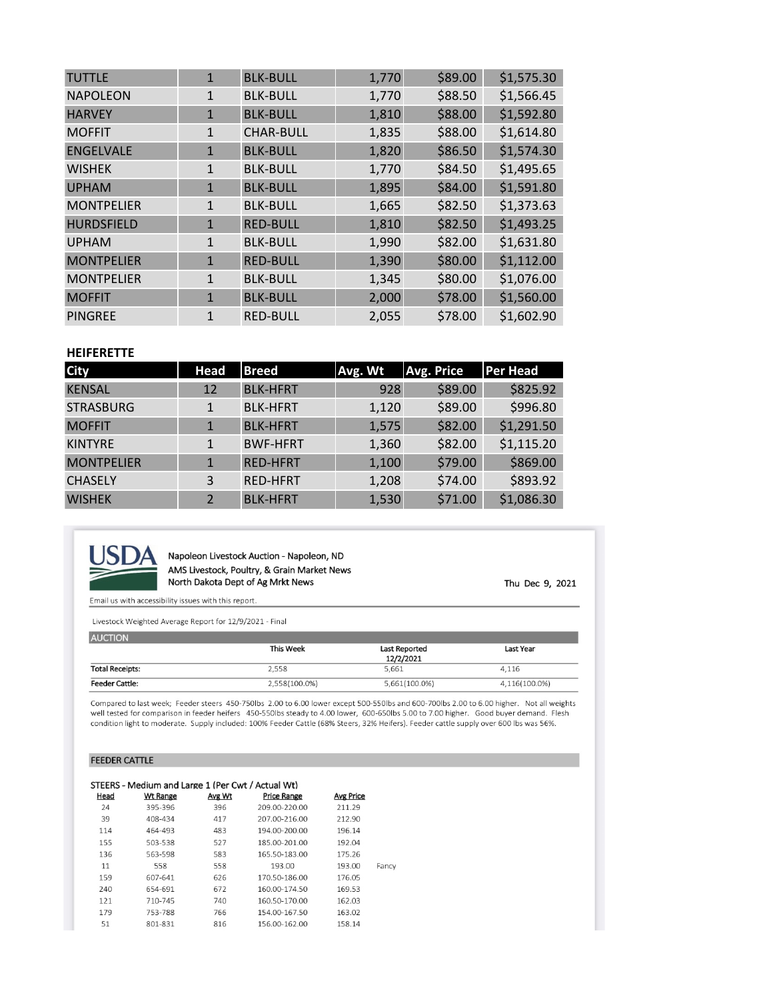| <b>TUTTLE</b>     | $\mathbf{1}$ | <b>BLK-BULL</b>  | 1,770 | \$89.00 | \$1,575.30 |
|-------------------|--------------|------------------|-------|---------|------------|
| <b>NAPOLEON</b>   | $\mathbf{1}$ | <b>BLK-BULL</b>  | 1,770 | \$88.50 | \$1,566.45 |
| <b>HARVEY</b>     | $\mathbf{1}$ | <b>BLK-BULL</b>  | 1,810 | \$88.00 | \$1,592.80 |
| <b>MOFFIT</b>     | $\mathbf{1}$ | <b>CHAR-BULL</b> | 1,835 | \$88.00 | \$1,614.80 |
| <b>ENGELVALE</b>  | $\mathbf{1}$ | <b>BLK-BULL</b>  | 1,820 | \$86.50 | \$1,574.30 |
| <b>WISHEK</b>     | $\mathbf{1}$ | <b>BLK-BULL</b>  | 1,770 | \$84.50 | \$1,495.65 |
| <b>UPHAM</b>      | $\mathbf{1}$ | <b>BLK-BULL</b>  | 1,895 | \$84.00 | \$1,591.80 |
| <b>MONTPELIER</b> | $\mathbf{1}$ | <b>BLK-BULL</b>  | 1,665 | \$82.50 | \$1,373.63 |
| <b>HURDSFIELD</b> | $\mathbf{1}$ | <b>RED-BULL</b>  | 1,810 | \$82.50 | \$1,493.25 |
| <b>UPHAM</b>      | $\mathbf{1}$ | <b>BLK-BULL</b>  | 1,990 | \$82.00 | \$1,631.80 |
| <b>MONTPELIER</b> | $\mathbf{1}$ | <b>RED-BULL</b>  | 1,390 | \$80.00 | \$1,112.00 |
| <b>MONTPELIER</b> | $\mathbf{1}$ | <b>BLK-BULL</b>  | 1,345 | \$80.00 | \$1,076.00 |
| <b>MOFFIT</b>     | $\mathbf{1}$ | <b>BLK-BULL</b>  | 2,000 | \$78.00 | \$1,560.00 |
| <b>PINGREE</b>    | $\mathbf{1}$ | <b>RED-BULL</b>  | 2,055 | \$78.00 | \$1,602.90 |

### **HEIFERETTE**

| <b>City</b>       | Head          | <b>Breed</b>    | Avg. Wt | <b>Avg. Price</b> | Per Head   |
|-------------------|---------------|-----------------|---------|-------------------|------------|
| <b>KENSAL</b>     | 12            | <b>BLK-HFRT</b> | 928     | \$89.00           | \$825.92   |
| <b>STRASBURG</b>  | $\mathbf{1}$  | <b>BLK-HFRT</b> | 1,120   | \$89.00           | \$996.80   |
| <b>MOFFIT</b>     | $\mathbf{1}$  | <b>BLK-HFRT</b> | 1,575   | \$82.00           | \$1,291.50 |
| <b>KINTYRE</b>    |               | <b>BWF-HFRT</b> | 1,360   | \$82.00           | \$1,115.20 |
| <b>MONTPELIER</b> | $\mathbf{1}$  | <b>RED-HFRT</b> | 1,100   | \$79.00           | \$869.00   |
| <b>CHASELY</b>    | 3             | <b>RED-HFRT</b> | 1,208   | \$74.00           | \$893.92   |
| <b>WISHEK</b>     | $\mathcal{L}$ | <b>BLK-HFRT</b> | 1,530   | \$71.00           | \$1,086.30 |



Napoleon Livestock Auction - Napoleon, ND AMS Livestock, Poultry, & Grain Market News North Dakota Dept of Ag Mrkt News

Thu Dec 9, 2021

Email us with accessibility issues with this report.

Livestock Weighted Average Report for 12/9/2021 - Final

| <b>AUCTION</b>         |               |               |               |
|------------------------|---------------|---------------|---------------|
|                        | This Week     | Last Reported | Last Year     |
|                        |               | 12/2/2021     |               |
| <b>Total Receipts:</b> | 2,558         | 5.661         | 4.116         |
| <b>Feeder Cattle:</b>  | 2,558(100.0%) | 5,661(100.0%) | 4,116(100.0%) |

Compared to last week; Feeder steers 450-750lbs 2.00 to 6.00 lower except 500-550lbs and 600-700lbs 2.00 to 6.00 higher. Not all weights well tested for comparison in feeder heifers 450-550lbs steady to 4.00 lower, 600-650lbs 5.00 to 7.00 higher. Good buyer demand. Flesh condition light to moderate. Supply included: 100% Feeder Cattle (68% Steers, 32% Heifers). Feeder cattle supply over 600 lbs was 56%.

#### **FEEDER CATTLE**

|      | STEERS - Medium and Large 1 (Per Cwt / Actual Wt) |        |                    |                  |       |
|------|---------------------------------------------------|--------|--------------------|------------------|-------|
| Head | <b>Wt Range</b>                                   | Avg Wt | <b>Price Range</b> | <b>Avg Price</b> |       |
| 24   | 395-396                                           | 396    | 209.00-220.00      | 211.29           |       |
| 39   | 408-434                                           | 417    | 207.00-216.00      | 212.90           |       |
| 114  | 464-493                                           | 483    | 194.00-200.00      | 196.14           |       |
| 155  | 503-538                                           | 527    | 185.00-201.00      | 192.04           |       |
| 136  | 563-598                                           | 583    | 165.50-183.00      | 175.26           |       |
| 11   | 558                                               | 558    | 193.00             | 193.00           | Fancy |
| 159  | 607-641                                           | 626    | 170.50-186.00      | 176.05           |       |
| 240  | 654-691                                           | 672    | 160.00-174.50      | 169.53           |       |
| 121  | 710-745                                           | 740    | 160.50-170.00      | 162.03           |       |
| 179  | 753-788                                           | 766    | 154.00-167.50      | 163.02           |       |
| 51   | 801-831                                           | 816    | 156.00-162.00      | 158.14           |       |